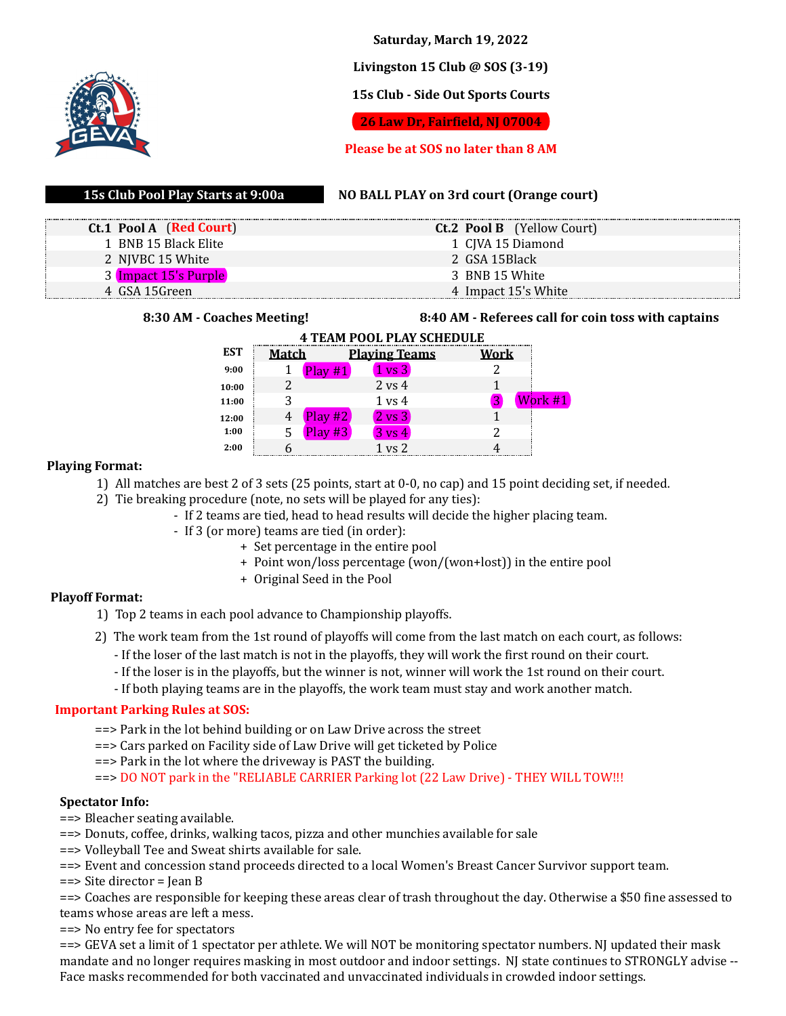

**Saturday, March 19, 2022**

# **Livingston 15 Club @ SOS (3-19)**

# **15s Club - Side Out Sports Courts**

**26 Law Dr, Fairfield, NJ 07004**

# **Please be at SOS no later than 8 AM**

# **15s Club Pool Play Starts at 9:00a**

### **NO BALL PLAY on 3rd court (Orange court)**

| Ct.1 Pool A (Red Court) |                | <b>Ct.2 Pool B</b> (Yellow Court) |
|-------------------------|----------------|-----------------------------------|
| 1 BNB 15 Black Elite    |                | 1 CJVA 15 Diamond                 |
| 2 NJVBC 15 White        | 2 GSA 15Black  |                                   |
| 3 Impact 15's Purple    | 3 BNB 15 White |                                   |
| 4 GSA 15Green           |                | 4 Impact 15's White               |

#### **8:30 AM - Coaches Meeting! 8:40 AM - Referees call for coin toss with captains**

| <b>4 TEAM POOL PLAY SCHEDULE</b> |              |           |                      |             |         |  |  |  |
|----------------------------------|--------------|-----------|----------------------|-------------|---------|--|--|--|
| <b>EST</b>                       | <b>Match</b> |           | <b>Playing Teams</b> | <u>Work</u> |         |  |  |  |
| 9:00                             |              | Play#1    | $1 \text{ vs } 3$    |             |         |  |  |  |
| 10:00                            |              |           | $2$ vs $4$           |             |         |  |  |  |
| 11:00                            |              |           | $1 \text{ vs } 4$    |             | Work #1 |  |  |  |
| 12:00                            |              | Play #2   | $2 \text{ vs } 3$    |             |         |  |  |  |
| 1:00                             | 5            | Play $#3$ | $3 \text{ vs } 4$    |             |         |  |  |  |
| 2:00                             |              |           | 1 vs 2               |             |         |  |  |  |

# **Playing Format:**

- 1) All matches are best 2 of 3 sets (25 points, start at 0-0, no cap) and 15 point deciding set, if needed.
- 2) Tie breaking procedure (note, no sets will be played for any ties):
	- If 2 teams are tied, head to head results will decide the higher placing team.
	- If 3 (or more) teams are tied (in order):
		- + Set percentage in the entire pool
		- + Point won/loss percentage (won/(won+lost)) in the entire pool
		- + Original Seed in the Pool

# **Playoff Format:**

- 1) Top 2 teams in each pool advance to Championship playoffs.
- 2) The work team from the 1st round of playoffs will come from the last match on each court, as follows:
	- If the loser of the last match is not in the playoffs, they will work the first round on their court.
	- If the loser is in the playoffs, but the winner is not, winner will work the 1st round on their court.
	- If both playing teams are in the playoffs, the work team must stay and work another match.

# **Important Parking Rules at SOS:**

- ==> Park in the lot behind building or on Law Drive across the street
- ==> Cars parked on Facility side of Law Drive will get ticketed by Police
- ==> Park in the lot where the driveway is PAST the building.

==> DO NOT park in the "RELIABLE CARRIER Parking lot (22 Law Drive) - THEY WILL TOW!!!

# **Spectator Info:**

- ==> Bleacher seating available.
- ==> Donuts, coffee, drinks, walking tacos, pizza and other munchies available for sale
- ==> Volleyball Tee and Sweat shirts available for sale.
- ==> Event and concession stand proceeds directed to a local Women's Breast Cancer Survivor support team.
- ==> Site director = Jean B

==> Coaches are responsible for keeping these areas clear of trash throughout the day. Otherwise a \$50 fine assessed to teams whose areas are left a mess.

==> No entry fee for spectators

==> GEVA set a limit of 1 spectator per athlete. We will NOT be monitoring spectator numbers. NJ updated their mask mandate and no longer requires masking in most outdoor and indoor settings. NJ state continues to STRONGLY advise -- Face masks recommended for both vaccinated and unvaccinated individuals in crowded indoor settings.